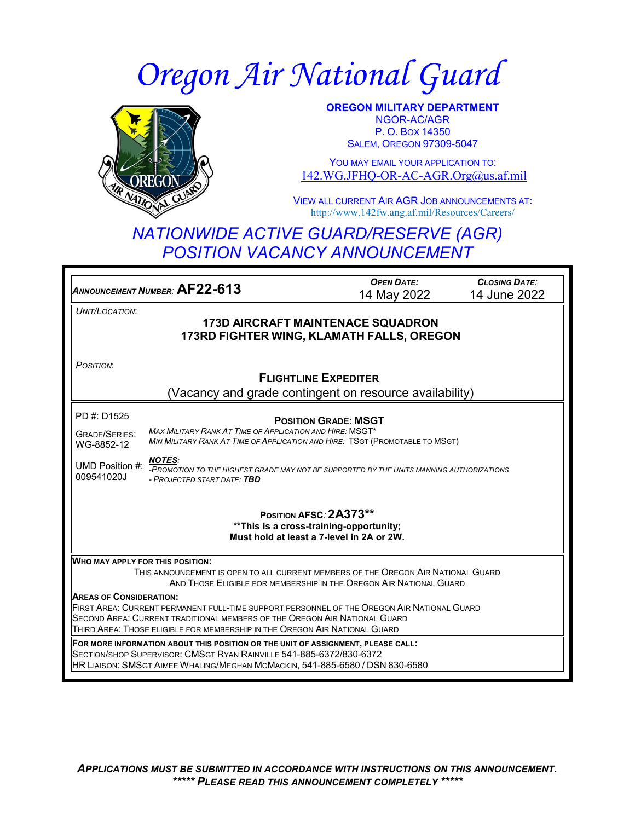# *Oregon Air National Guard*



**OREGON MILITARY DEPARTMENT** NGOR-AC/AGR P. O. BOX 14350 SALEM, OREGON 97309-5047

YOU MAY EMAIL YOUR APPLICATION TO: [142.WG.JFHQ-OR-AC-AGR.Org@us.af.mil](mailto:142.WG.JFHQ-OR-AC-AGR.Org@us.af.mil)

VIEW ALL CURRENT AIR AGR JOB ANNOUNCEMENTS AT: http://www.142fw.ang.af.mil/Resources/Careers/

# *NATIONWIDE ACTIVE GUARD/RESERVE (AGR) POSITION VACANCY ANNOUNCEMENT*

| ANNOUNCEMENT NUMBER: AF22-613                                                                                                                                                                                                                                                           | <b>OPEN DATE:</b><br>14 May 2022 | <b>CLOSING DATE:</b><br>14 June 2022 |
|-----------------------------------------------------------------------------------------------------------------------------------------------------------------------------------------------------------------------------------------------------------------------------------------|----------------------------------|--------------------------------------|
| $I$ <i>JNIT/LOCATION:</i><br><b>173D AIRCRAFT MAINTENACE SQUADRON</b><br>173RD FIGHTER WING, KLAMATH FALLS, OREGON                                                                                                                                                                      |                                  |                                      |
| POSITION:                                                                                                                                                                                                                                                                               |                                  |                                      |
| <b>FLIGHTLINE EXPEDITER</b>                                                                                                                                                                                                                                                             |                                  |                                      |
| (Vacancy and grade contingent on resource availability)                                                                                                                                                                                                                                 |                                  |                                      |
| PD #: D1525                                                                                                                                                                                                                                                                             | <b>POSITION GRADE: MSGT</b>      |                                      |
| <b>MAX MILITARY RANK AT TIME OF APPLICATION AND HIRE: MSGT*</b><br><b>GRADE/SERIES:</b><br>MIN MILITARY RANK AT TIME OF APPLICATION AND HIRE: TSGT (PROMOTABLE TO MSGT)<br>WG-8852-12                                                                                                   |                                  |                                      |
| <b>NOTES:</b><br>UMD Position #:<br>-PROMOTION TO THE HIGHEST GRADE MAY NOT BE SUPPORTED BY THE UNITS MANNING AUTHORIZATIONS<br>009541020J<br>- PROJECTED START DATE: TBD                                                                                                               |                                  |                                      |
| POSITION AFSC: 2A373**<br>** This is a cross-training-opportunity;<br>Must hold at least a 7-level in 2A or 2W.                                                                                                                                                                         |                                  |                                      |
| WHO MAY APPLY FOR THIS POSITION:<br>THIS ANNOUNCEMENT IS OPEN TO ALL CURRENT MEMBERS OF THE OREGON AIR NATIONAL GUARD<br>AND THOSE ELIGIBLE FOR MEMBERSHIP IN THE OREGON AIR NATIONAL GUARD                                                                                             |                                  |                                      |
| <b>AREAS OF CONSIDERATION:</b><br>FIRST AREA: CURRENT PERMANENT FULL-TIME SUPPORT PERSONNEL OF THE OREGON AIR NATIONAL GUARD<br>SECOND AREA: CURRENT TRADITIONAL MEMBERS OF THE OREGON AIR NATIONAL GUARD<br>THIRD AREA: THOSE ELIGIBLE FOR MEMBERSHIP IN THE OREGON AIR NATIONAL GUARD |                                  |                                      |
| FOR MORE INFORMATION ABOUT THIS POSITION OR THE UNIT OF ASSIGNMENT, PLEASE CALL:<br>SECTION/SHOP SUPERVISOR: CMSGT RYAN RAINVILLE 541-885-6372/830-6372<br>HR LIAISON: SMSGT AIMEE WHALING/MEGHAN MCMACKIN, 541-885-6580 / DSN 830-6580                                                 |                                  |                                      |

*APPLICATIONS MUST BE SUBMITTED IN ACCORDANCE WITH INSTRUCTIONS ON THIS ANNOUNCEMENT. \*\*\*\*\* PLEASE READ THIS ANNOUNCEMENT COMPLETELY \*\*\*\*\**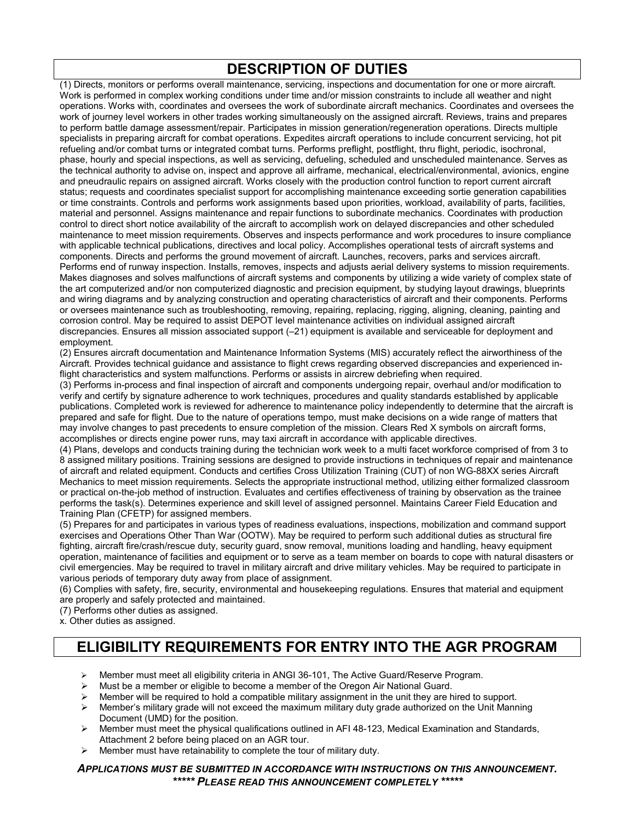# **DESCRIPTION OF DUTIES**

(1) Directs, monitors or performs overall maintenance, servicing, inspections and documentation for one or more aircraft. Work is performed in complex working conditions under time and/or mission constraints to include all weather and night operations. Works with, coordinates and oversees the work of subordinate aircraft mechanics. Coordinates and oversees the work of journey level workers in other trades working simultaneously on the assigned aircraft. Reviews, trains and prepares to perform battle damage assessment/repair. Participates in mission generation/regeneration operations. Directs multiple specialists in preparing aircraft for combat operations. Expedites aircraft operations to include concurrent servicing, hot pit refueling and/or combat turns or integrated combat turns. Performs preflight, postflight, thru flight, periodic, isochronal, phase, hourly and special inspections, as well as servicing, defueling, scheduled and unscheduled maintenance. Serves as the technical authority to advise on, inspect and approve all airframe, mechanical, electrical/environmental, avionics, engine and pneudraulic repairs on assigned aircraft. Works closely with the production control function to report current aircraft status; requests and coordinates specialist support for accomplishing maintenance exceeding sortie generation capabilities or time constraints. Controls and performs work assignments based upon priorities, workload, availability of parts, facilities, material and personnel. Assigns maintenance and repair functions to subordinate mechanics. Coordinates with production control to direct short notice availability of the aircraft to accomplish work on delayed discrepancies and other scheduled maintenance to meet mission requirements. Observes and inspects performance and work procedures to insure compliance with applicable technical publications, directives and local policy. Accomplishes operational tests of aircraft systems and components. Directs and performs the ground movement of aircraft. Launches, recovers, parks and services aircraft. Performs end of runway inspection. Installs, removes, inspects and adjusts aerial delivery systems to mission requirements. Makes diagnoses and solves malfunctions of aircraft systems and components by utilizing a wide variety of complex state of the art computerized and/or non computerized diagnostic and precision equipment, by studying layout drawings, blueprints and wiring diagrams and by analyzing construction and operating characteristics of aircraft and their components. Performs or oversees maintenance such as troubleshooting, removing, repairing, replacing, rigging, aligning, cleaning, painting and corrosion control. May be required to assist DEPOT level maintenance activities on individual assigned aircraft discrepancies. Ensures all mission associated support (–21) equipment is available and serviceable for deployment and employment.

(2) Ensures aircraft documentation and Maintenance Information Systems (MIS) accurately reflect the airworthiness of the Aircraft. Provides technical guidance and assistance to flight crews regarding observed discrepancies and experienced inflight characteristics and system malfunctions. Performs or assists in aircrew debriefing when required.

(3) Performs in-process and final inspection of aircraft and components undergoing repair, overhaul and/or modification to verify and certify by signature adherence to work techniques, procedures and quality standards established by applicable publications. Completed work is reviewed for adherence to maintenance policy independently to determine that the aircraft is prepared and safe for flight. Due to the nature of operations tempo, must make decisions on a wide range of matters that may involve changes to past precedents to ensure completion of the mission. Clears Red X symbols on aircraft forms, accomplishes or directs engine power runs, may taxi aircraft in accordance with applicable directives.

(4) Plans, develops and conducts training during the technician work week to a multi facet workforce comprised of from 3 to 8 assigned military positions. Training sessions are designed to provide instructions in techniques of repair and maintenance of aircraft and related equipment. Conducts and certifies Cross Utilization Training (CUT) of non WG-88XX series Aircraft Mechanics to meet mission requirements. Selects the appropriate instructional method, utilizing either formalized classroom or practical on-the-job method of instruction. Evaluates and certifies effectiveness of training by observation as the trainee performs the task(s). Determines experience and skill level of assigned personnel. Maintains Career Field Education and Training Plan (CFETP) for assigned members.

(5) Prepares for and participates in various types of readiness evaluations, inspections, mobilization and command support exercises and Operations Other Than War (OOTW). May be required to perform such additional duties as structural fire fighting, aircraft fire/crash/rescue duty, security guard, snow removal, munitions loading and handling, heavy equipment operation, maintenance of facilities and equipment or to serve as a team member on boards to cope with natural disasters or civil emergencies. May be required to travel in military aircraft and drive military vehicles. May be required to participate in various periods of temporary duty away from place of assignment.

(6) Complies with safety, fire, security, environmental and housekeeping regulations. Ensures that material and equipment are properly and safely protected and maintained.

(7) Performs other duties as assigned.

x. Other duties as assigned.

### **ELIGIBILITY REQUIREMENTS FOR ENTRY INTO THE AGR PROGRAM**

- Member must meet all eligibility criteria in ANGI 36-101, The Active Guard/Reserve Program.
- Must be a member or eligible to become a member of the Oregon Air National Guard.
- Member will be required to hold a compatible military assignment in the unit they are hired to support.<br>Member's military grade will not exceed the maximum military duty grade authorized on the Unit Mann
- Member's military grade will not exceed the maximum military duty grade authorized on the Unit Manning Document (UMD) for the position.
- Member must meet the physical qualifications outlined in AFI 48-123, Medical Examination and Standards, Attachment 2 before being placed on an AGR tour.
- Member must have retainability to complete the tour of military duty.

*APPLICATIONS MUST BE SUBMITTED IN ACCORDANCE WITH INSTRUCTIONS ON THIS ANNOUNCEMENT. \*\*\*\*\* PLEASE READ THIS ANNOUNCEMENT COMPLETELY \*\*\*\*\**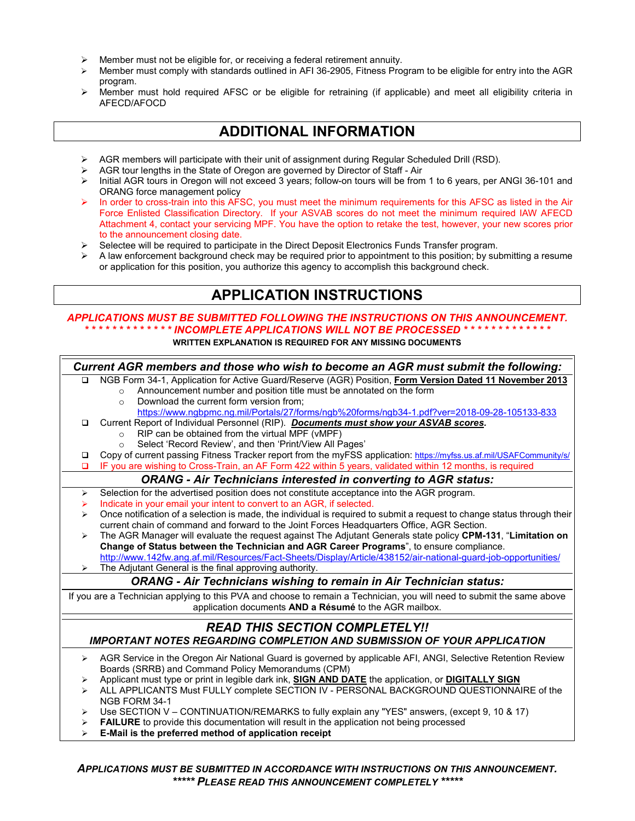- $\triangleright$  Member must not be eligible for, or receiving a federal retirement annuity.
- $\triangleright$  Member must comply with standards outlined in AFI 36-2905, Fitness Program to be eligible for entry into the AGR program.
- $\triangleright$  Member must hold required AFSC or be eligible for retraining (if applicable) and meet all eligibility criteria in AFECD/AFOCD

#### **ADDITIONAL INFORMATION**

- $\triangleright$  AGR members will participate with their unit of assignment during Regular Scheduled Drill (RSD).
- $\triangleright$  AGR tour lengths in the State of Oregon are governed by Director of Staff Air<br> $\triangleright$  Initial AGR tours in Oregon will not exceed 3 years: follow-on tours will be from
- Initial AGR tours in Oregon will not exceed 3 years; follow-on tours will be from 1 to 6 years, per ANGI 36-101 and ORANG force management policy
- In order to cross-train into this AFSC, you must meet the minimum requirements for this AFSC as listed in the Air Force Enlisted Classification Directory. If your ASVAB scores do not meet the minimum required IAW AFECD Attachment 4, contact your servicing MPF. You have the option to retake the test, however, your new scores prior to the announcement closing date.
- $\triangleright$  Selectee will be required to participate in the Direct Deposit Electronics Funds Transfer program.
- A law enforcement background check may be required prior to appointment to this position; by submitting a resume or application for this position, you authorize this agency to accomplish this background check.

## **APPLICATION INSTRUCTIONS**

#### *APPLICATIONS MUST BE SUBMITTED FOLLOWING THE INSTRUCTIONS ON THIS ANNOUNCEMENT. \* \* \* \* \* \* \* \* \* \* \* \* \* INCOMPLETE APPLICATIONS WILL NOT BE PROCESSED \* \* \* \* \* \* \* \* \* \* \* \* \**

**WRITTEN EXPLANATION IS REQUIRED FOR ANY MISSING DOCUMENTS**

|                                                                                                                        | Current AGR members and those who wish to become an AGR must submit the following:                                      |  |
|------------------------------------------------------------------------------------------------------------------------|-------------------------------------------------------------------------------------------------------------------------|--|
| $\Box$                                                                                                                 | NGB Form 34-1, Application for Active Guard/Reserve (AGR) Position, Form Version Dated 11 November 2013                 |  |
|                                                                                                                        | Announcement number and position title must be annotated on the form<br>$\circ$                                         |  |
|                                                                                                                        | Download the current form version from;<br>$\circ$                                                                      |  |
|                                                                                                                        | https://www.ngbpmc.ng.mil/Portals/27/forms/ngb%20forms/ngb34-1.pdf?ver=2018-09-28-105133-833                            |  |
| $\Box$                                                                                                                 | Current Report of Individual Personnel (RIP). Documents must show your ASVAB scores.                                    |  |
|                                                                                                                        | RIP can be obtained from the virtual MPF (vMPF)<br>$\circ$                                                              |  |
|                                                                                                                        | Select 'Record Review', and then 'Print/View All Pages'<br>$\circ$                                                      |  |
| $\Box$                                                                                                                 | Copy of current passing Fitness Tracker report from the myFSS application: https://myfss.us.af.mil/USAFCommunity/s/     |  |
| ◘                                                                                                                      | IF you are wishing to Cross-Train, an AF Form 422 within 5 years, validated within 12 months, is required               |  |
| <b>ORANG - Air Technicians interested in converting to AGR status:</b>                                                 |                                                                                                                         |  |
| $\blacktriangleright$                                                                                                  | Selection for the advertised position does not constitute acceptance into the AGR program.                              |  |
| ➤                                                                                                                      | Indicate in your email your intent to convert to an AGR, if selected.                                                   |  |
| ↘                                                                                                                      | Once notification of a selection is made, the individual is required to submit a request to change status through their |  |
|                                                                                                                        | current chain of command and forward to the Joint Forces Headquarters Office, AGR Section.                              |  |
| ➤                                                                                                                      | The AGR Manager will evaluate the request against The Adjutant Generals state policy CPM-131, "Limitation on            |  |
|                                                                                                                        | Change of Status between the Technician and AGR Career Programs", to ensure compliance.                                 |  |
|                                                                                                                        | http://www.142fw.ang.af.mil/Resources/Fact-Sheets/Display/Article/438152/air-national-guard-job-opportunities/          |  |
| ➤                                                                                                                      | The Adjutant General is the final approving authority.                                                                  |  |
| <b>ORANG - Air Technicians wishing to remain in Air Technician status:</b>                                             |                                                                                                                         |  |
| If you are a Technician applying to this PVA and choose to remain a Technician, you will need to submit the same above |                                                                                                                         |  |
|                                                                                                                        | application documents AND a Résumé to the AGR mailbox.                                                                  |  |
| <b>READ THIS SECTION COMPLETELY!!</b>                                                                                  |                                                                                                                         |  |
|                                                                                                                        | IMPORTANT NOTES REGARDING COMPLETION AND SUBMISSION OF YOUR APPLICATION                                                 |  |
|                                                                                                                        |                                                                                                                         |  |
| ➤                                                                                                                      | AGR Service in the Oregon Air National Guard is governed by applicable AFI, ANGI, Selective Retention Review            |  |
|                                                                                                                        | Boards (SRRB) and Command Policy Memorandums (CPM)                                                                      |  |
| ⋗                                                                                                                      | Applicant must type or print in legible dark ink, SIGN AND DATE the application, or DIGITALLY SIGN                      |  |
| ↘                                                                                                                      | ALL APPLICANTS Must FULLY complete SECTION IV - PERSONAL BACKGROUND QUESTIONNAIRE of the                                |  |
|                                                                                                                        | NGB FORM 34-1                                                                                                           |  |
| ➤                                                                                                                      | Use SECTION V - CONTINUATION/REMARKS to fully explain any "YES" answers, (except 9, 10 & 17)                            |  |
| ➤                                                                                                                      | <b>FAILURE</b> to provide this documentation will result in the application not being processed                         |  |
| $\blacktriangleright$                                                                                                  | E-Mail is the preferred method of application receipt                                                                   |  |
|                                                                                                                        |                                                                                                                         |  |

*APPLICATIONS MUST BE SUBMITTED IN ACCORDANCE WITH INSTRUCTIONS ON THIS ANNOUNCEMENT. \*\*\*\*\* PLEASE READ THIS ANNOUNCEMENT COMPLETELY \*\*\*\*\**